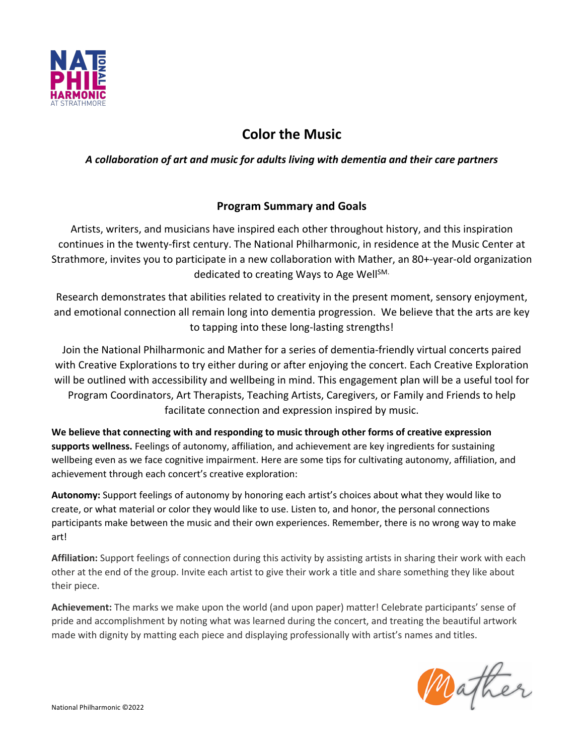

# **Color the Music**

## *A collaboration of art and music for adults living with dementia and their care partners*

## **Program Summary and Goals**

Artists, writers, and musicians have inspired each other throughout history, and this inspiration continues in the twenty-first century. The National Philharmonic, in residence at the Music Center at Strathmore, invites you to participate in a new collaboration with Mather, an 80+-year-old organization dedicated to creating Ways to Age Well<sup>SM.</sup>

Research demonstrates that abilities related to creativity in the present moment, sensory enjoyment, and emotional connection all remain long into dementia progression.We believe that the arts are key to tapping into these long-lasting strengths!

Join the National Philharmonic and Mather for a series of dementia-friendly virtual concerts paired with Creative Explorations to try either during or after enjoying the concert. Each Creative Exploration will be outlined with accessibility and wellbeing in mind. This engagement plan will be a useful tool for Program Coordinators, Art Therapists, Teaching Artists, Caregivers, or Family and Friends to help facilitate connection and expression inspired by music.

**We believe that connecting with and responding to music through other forms of creative expression supports wellness.** Feelings of autonomy, affiliation, and achievement are key ingredients for sustaining wellbeing even as we face cognitive impairment. Here are some tips for cultivating autonomy, affiliation, and achievement through each concert's creative exploration:

**Autonomy:** Support feelings of autonomy by honoring each artist's choices about what they would like to create, or what material or color they would like to use. Listen to, and honor, the personal connections participants make between the music and their own experiences. Remember, there is no wrong way to make art!

**Affiliation:** Support feelings of connection during this activity by assisting artists in sharing their work with each other at the end of the group. Invite each artist to give their work a title and share something they like about their piece.

**Achievement:** The marks we make upon the world (and upon paper) matter! Celebrate participants' sense of pride and accomplishment by noting what was learned during the concert, and treating the beautiful artwork made with dignity by matting each piece and displaying professionally with artist's names and titles.

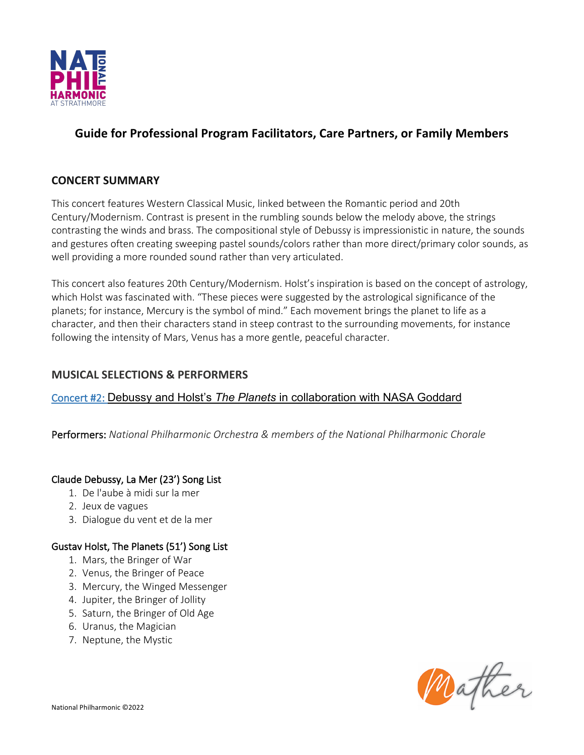

## **Guide for Professional Program Facilitators, Care Partners, or Family Members**

## **CONCERT SUMMARY**

This concert features Western Classical Music, linked between the Romantic period and 20th Century/Modernism. Contrast is present in the rumbling sounds below the melody above, the strings contrasting the winds and brass. The compositional style of Debussy is impressionistic in nature, the sounds and gestures often creating sweeping pastel sounds/colors rather than more direct/primary color sounds, as well providing a more rounded sound rather than very articulated.

This concert also features 20th Century/Modernism. Holst's inspiration is based on the concept of astrology, which Holst was fascinated with. "These pieces were suggested by the astrological significance of the planets; for instance, Mercury is the symbol of mind." Each movement brings the planet to life as a character, and then their characters stand in steep contrast to the surrounding movements, for instance following the intensity of Mars, Venus has a more gentle, peaceful character.

## **MUSICAL SELECTIONS & PERFORMERS**

## Concert #2: Debussy and Holst's *The Planets* in collaboration with NASA Goddard

Performers: *National Philharmonic Orchestra & members of the National Philharmonic Chorale*

## Claude Debussy, La Mer (23') Song List

- 1. De l'aube à midi sur la mer
- 2. Jeux de vagues
- 3. Dialogue du vent et de la mer

#### Gustav Holst, The Planets (51') Song List

- 1. Mars, the Bringer of War
- 2. Venus, the Bringer of Peace
- 3. Mercury, the Winged Messenger
- 4. Jupiter, the Bringer of Jollity
- 5. Saturn, the Bringer of Old Age
- 6. Uranus, the Magician
- 7. Neptune, the Mystic

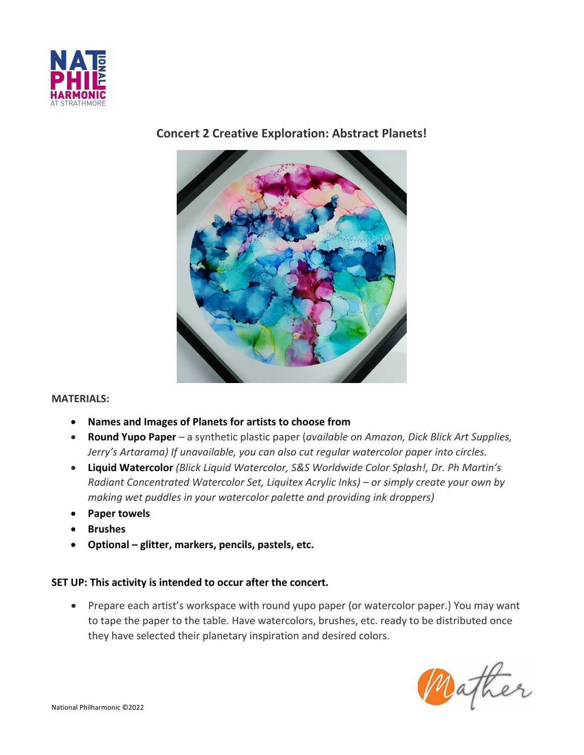

## **Concert 2 Creative Exploration: Abstract Planets!**



#### **MATERIALS:**

- **Names and Images of Planets for artists to choose from**
- **Round Yupo Paper** a synthetic plastic paper (*available on Amazon, Dick Blick Art Supplies, Jerry's Artarama) If unavailable, you can also cut regular watercolor paper into circles.*
- **Liquid Watercolor** *(Blick Liquid Watercolor, S&S Worldwide Color Splash!, Dr. Ph Martin's Radiant Concentrated Watercolor Set, Liquitex Acrylic Inks) – or simply create your own by making wet puddles in your watercolor palette and providing ink droppers)*
- **Paper towels**
- **Brushes**
- **Optional – glitter, markers, pencils, pastels, etc.**

#### **SET UP: This activity is intended to occur after the concert.**

• Prepare each artist's workspace with round yupo paper (or watercolor paper.) You may want to tape the paper to the table. Have watercolors, brushes, etc. ready to be distributed once they have selected their planetary inspiration and desired colors.

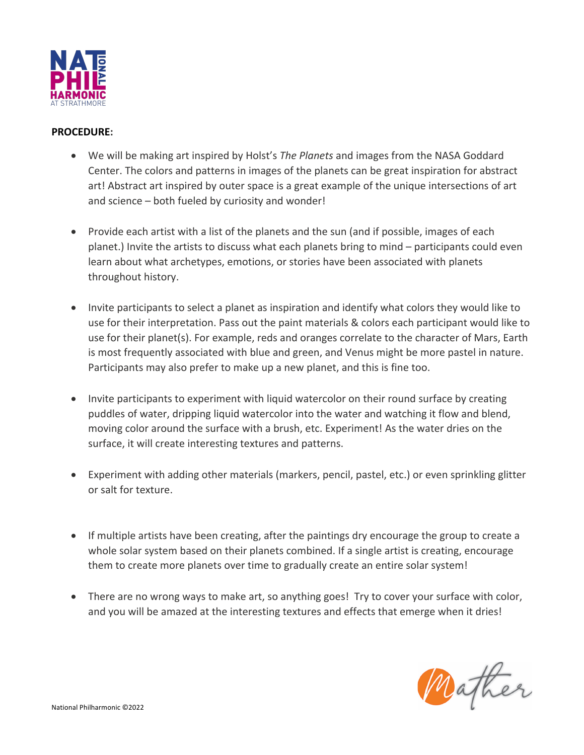

#### **PROCEDURE:**

- We will be making art inspired by Holst's *The Planets* and images from the NASA Goddard Center. The colors and patterns in images of the planets can be great inspiration for abstract art! Abstract art inspired by outer space is a great example of the unique intersections of art and science – both fueled by curiosity and wonder!
- Provide each artist with a list of the planets and the sun (and if possible, images of each planet.) Invite the artists to discuss what each planets bring to mind – participants could even learn about what archetypes, emotions, or stories have been associated with planets throughout history.
- Invite participants to select a planet as inspiration and identify what colors they would like to use for their interpretation. Pass out the paint materials & colors each participant would like to use for their planet(s). For example, reds and oranges correlate to the character of Mars, Earth is most frequently associated with blue and green, and Venus might be more pastel in nature. Participants may also prefer to make up a new planet, and this is fine too.
- Invite participants to experiment with liquid watercolor on their round surface by creating puddles of water, dripping liquid watercolor into the water and watching it flow and blend, moving color around the surface with a brush, etc. Experiment! As the water dries on the surface, it will create interesting textures and patterns.
- Experiment with adding other materials (markers, pencil, pastel, etc.) or even sprinkling glitter or salt for texture.
- If multiple artists have been creating, after the paintings dry encourage the group to create a whole solar system based on their planets combined. If a single artist is creating, encourage them to create more planets over time to gradually create an entire solar system!
- There are no wrong ways to make art, so anything goes! Try to cover your surface with color, and you will be amazed at the interesting textures and effects that emerge when it dries!

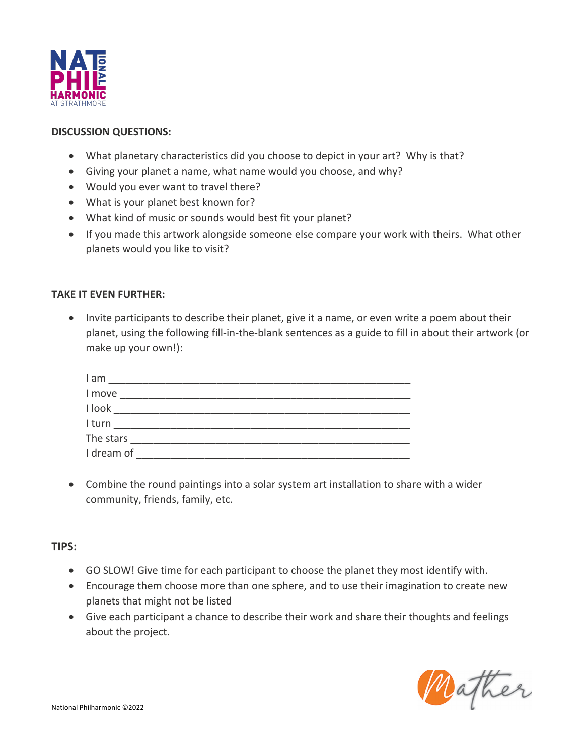

#### **DISCUSSION QUESTIONS:**

- What planetary characteristics did you choose to depict in your art? Why is that?
- Giving your planet a name, what name would you choose, and why?
- Would you ever want to travel there?
- What is your planet best known for?
- What kind of music or sounds would best fit your planet?
- If you made this artwork alongside someone else compare your work with theirs. What other planets would you like to visit?

#### **TAKE IT EVEN FURTHER:**

• Invite participants to describe their planet, give it a name, or even write a poem about their planet, using the following fill-in-the-blank sentences as a guide to fill in about their artwork (or make up your own!):

| I am       |  |  |  |
|------------|--|--|--|
| I move     |  |  |  |
| I look     |  |  |  |
| I turn     |  |  |  |
| The stars  |  |  |  |
| I dream of |  |  |  |

• Combine the round paintings into a solar system art installation to share with a wider community, friends, family, etc.

#### **TIPS:**

- GO SLOW! Give time for each participant to choose the planet they most identify with.
- Encourage them choose more than one sphere, and to use their imagination to create new planets that might not be listed
- Give each participant a chance to describe their work and share their thoughts and feelings about the project.